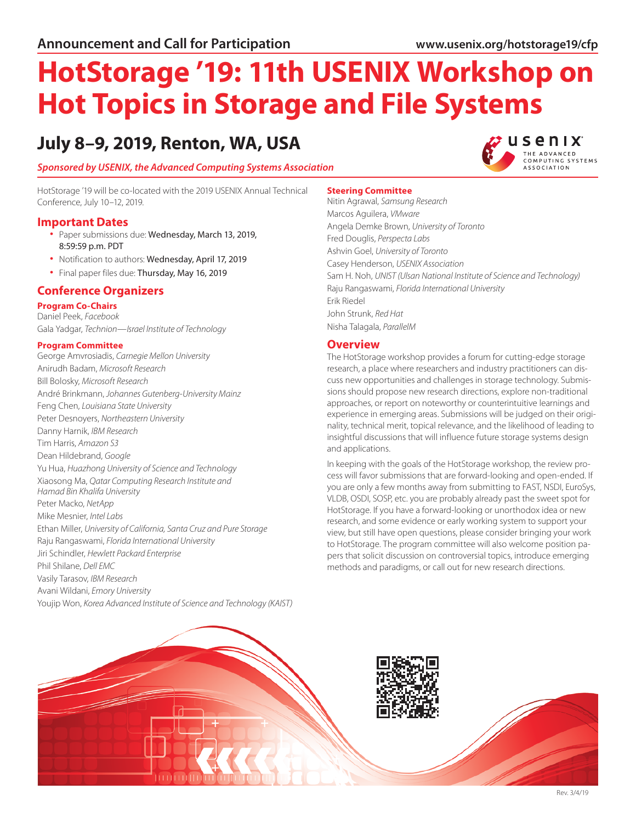# **HotStorage '19: 11th USENIX Workshop on Hot Topics in Storage and File Systems**

## **July 8–9, 2019, Renton, WA, USA**

*Sponsored by [USENIX](https://www.usenix.org/), the Advanced Computing Systems Association*

HotStorage '19 will be co-located with the 2019 USENIX Annual Technical Conference, July 10–12, 2019.

- **Important Dates**<br>• Paper submissions due: Wednesday, March 13, 2019, 8:59:59 p.m. PDT
	- Notification to authors: Wednesday, April 17, 2019
	- Final paper files due: Thursday, May 16, 2019

#### **Conference Organizers**

**Program Co-Chairs** Daniel Peek, *Facebook* Gala Yadgar, *Technion—Israel Institute of Technology*

#### **Program Committee**

George Amvrosiadis, *Carnegie Mellon University* Anirudh Badam, *Microsoft Research* Bill Bolosky, *Microsoft Research* André Brinkmann, *Johannes Gutenberg-University Mainz* Feng Chen, *Louisiana State University* Peter Desnoyers, *Northeastern University* Danny Harnik, *IBM Research* Tim Harris, *Amazon S3* Dean Hildebrand, *Google* Yu Hua, *Huazhong University of Science and Technology* Xiaosong Ma, *Qatar Computing Research Institute and Hamad Bin Khalifa University* Peter Macko, *NetApp* Mike Mesnier, *Intel Labs* Ethan Miller, *University of California, Santa Cruz and Pure Storage* Raju Rangaswami, *Florida International University* Jiri Schindler, *Hewlett Packard Enterprise* Phil Shilane, *Dell EMC* Vasily Tarasov, *IBM Research* Avani Wildani, *Emory University* Youjip Won, *Korea Advanced Institute of Science and Technology (KAIST)*

#### **Steering Committee**

Nitin Agrawal, *Samsung Research* Marcos Aguilera, *VMware* Angela Demke Brown, *University of Toronto* Fred Douglis, *Perspecta Labs* Ashvin Goel, *University of Toronto* Casey Henderson, *USENIX Association* Sam H. Noh, *UNIST (Ulsan National Institute of Science and Technology)* Raju Rangaswami, *Florida International University* Erik Riedel John Strunk, *Red Hat* Nisha Talagala, *ParallelM*

#### **Overview**

The HotStorage workshop provides a forum for cutting-edge storage research, a place where researchers and industry practitioners can discuss new opportunities and challenges in storage technology. Submissions should propose new research directions, explore non-traditional approaches, or report on noteworthy or counterintuitive learnings and experience in emerging areas. Submissions will be judged on their originality, technical merit, topical relevance, and the likelihood of leading to insightful discussions that will influence future storage systems design and applications.

In keeping with the goals of the HotStorage workshop, the review process will favor submissions that are forward-looking and open-ended. If you are only a few months away from submitting to FAST, NSDI, EuroSys, VLDB, OSDI, SOSP, etc. you are probably already past the sweet spot for HotStorage. If you have a forward-looking or unorthodox idea or new research, and some evidence or early working system to support your view, but still have open questions, please consider bringing your work to HotStorage. The program committee will also welcome position papers that solicit discussion on controversial topics, introduce emerging methods and paradigms, or call out for new research directions.